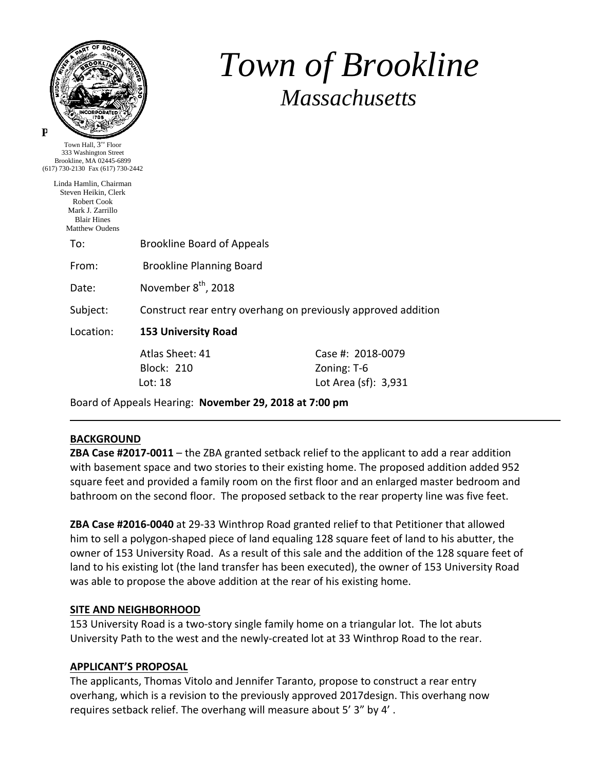

*Town of Brookline Massachusetts* 

Town Hall, 3<sup>rd</sup> Floor 333 Washington Street Brookline, MA 02445-6899 (617) 730-2130 Fax (617) 730-2442

> Linda Hamlin, Chairman Steven Heikin, Clerk Robert Cook Mark J. Zarrillo Blair Hines Matth<sup>1</sup>

| Tattnew Oudens |                                                               |                                                          |  |  |  |
|----------------|---------------------------------------------------------------|----------------------------------------------------------|--|--|--|
| To:            | <b>Brookline Board of Appeals</b>                             |                                                          |  |  |  |
| From:          | <b>Brookline Planning Board</b>                               |                                                          |  |  |  |
| Date:          | November 8 <sup>th</sup> , 2018                               |                                                          |  |  |  |
| Subject:       | Construct rear entry overhang on previously approved addition |                                                          |  |  |  |
| Location:      | <b>153 University Road</b>                                    |                                                          |  |  |  |
|                | Atlas Sheet: 41<br><b>Block: 210</b><br>Lot: 18               | Case #: 2018-0079<br>Zoning: T-6<br>Lot Area (sf): 3,931 |  |  |  |

Board of Appeals Hearing: **November 29, 2018 at 7:00 pm**

# **BACKGROUND**

**ZBA Case #2017‐0011** – the ZBA granted setback relief to the applicant to add a rear addition with basement space and two stories to their existing home. The proposed addition added 952 square feet and provided a family room on the first floor and an enlarged master bedroom and bathroom on the second floor. The proposed setback to the rear property line was five feet.

**ZBA Case #2016‐0040** at 29‐33 Winthrop Road granted relief to that Petitioner that allowed him to sell a polygon‐shaped piece of land equaling 128 square feet of land to his abutter, the owner of 153 University Road. As a result of this sale and the addition of the 128 square feet of land to his existing lot (the land transfer has been executed), the owner of 153 University Road was able to propose the above addition at the rear of his existing home.

## **SITE AND NEIGHBORHOOD**

153 University Road is a two-story single family home on a triangular lot. The lot abuts University Path to the west and the newly‐created lot at 33 Winthrop Road to the rear.

## **APPLICANT'S PROPOSAL**

The applicants, Thomas Vitolo and Jennifer Taranto, propose to construct a rear entry overhang, which is a revision to the previously approved 2017design. This overhang now requires setback relief. The overhang will measure about 5' 3" by 4' .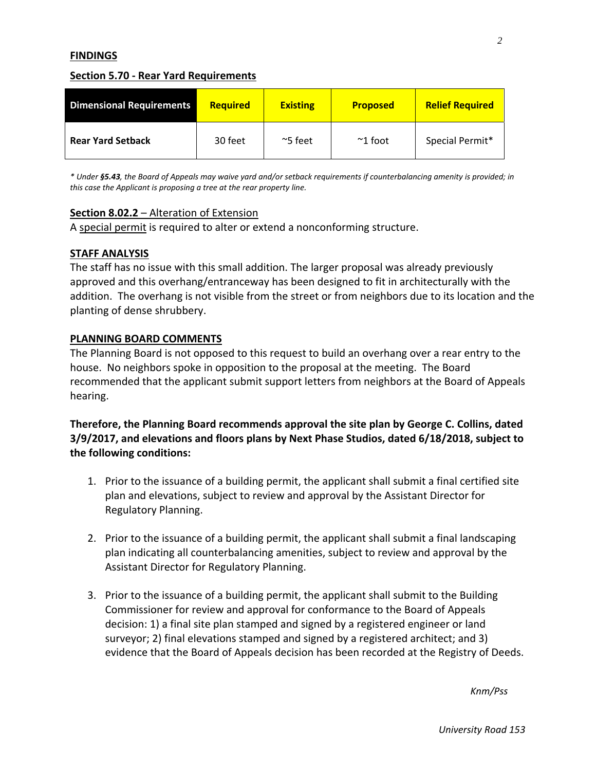### **FINDINGS**

#### **Section 5.70 ‐ Rear Yard Requirements**

| <b>Dimensional Requirements</b> | <b>Required</b> | <b>Existing</b>  | <b>Proposed</b>  | <b>Relief Required</b> |
|---------------------------------|-----------------|------------------|------------------|------------------------|
| <b>Rear Yard Setback</b>        | 30 feet         | $\approx$ 5 feet | $\approx$ 1 foot | Special Permit*        |

\* Under §5.43, the Board of Appeals may waive yard and/or setback requirements if counterbalancing amenity is provided; in *this case the Applicant is proposing a tree at the rear property line.*

#### **Section 8.02.2** – Alteration of Extension

A special permit is required to alter or extend a nonconforming structure.

#### **STAFF ANALYSIS**

The staff has no issue with this small addition. The larger proposal was already previously approved and this overhang/entranceway has been designed to fit in architecturally with the addition. The overhang is not visible from the street or from neighbors due to its location and the planting of dense shrubbery.

#### **PLANNING BOARD COMMENTS**

The Planning Board is not opposed to this request to build an overhang over a rear entry to the house. No neighbors spoke in opposition to the proposal at the meeting. The Board recommended that the applicant submit support letters from neighbors at the Board of Appeals hearing.

**Therefore, the Planning Board recommends approval the site plan by George C. Collins, dated 3/9/2017, and elevations and floors plans by Next Phase Studios, dated 6/18/2018, subject to the following conditions:**

- 1. Prior to the issuance of a building permit, the applicant shall submit a final certified site plan and elevations, subject to review and approval by the Assistant Director for Regulatory Planning.
- 2. Prior to the issuance of a building permit, the applicant shall submit a final landscaping plan indicating all counterbalancing amenities, subject to review and approval by the Assistant Director for Regulatory Planning.
- 3. Prior to the issuance of a building permit, the applicant shall submit to the Building Commissioner for review and approval for conformance to the Board of Appeals decision: 1) a final site plan stamped and signed by a registered engineer or land surveyor; 2) final elevations stamped and signed by a registered architect; and 3) evidence that the Board of Appeals decision has been recorded at the Registry of Deeds.

*Knm/Pss*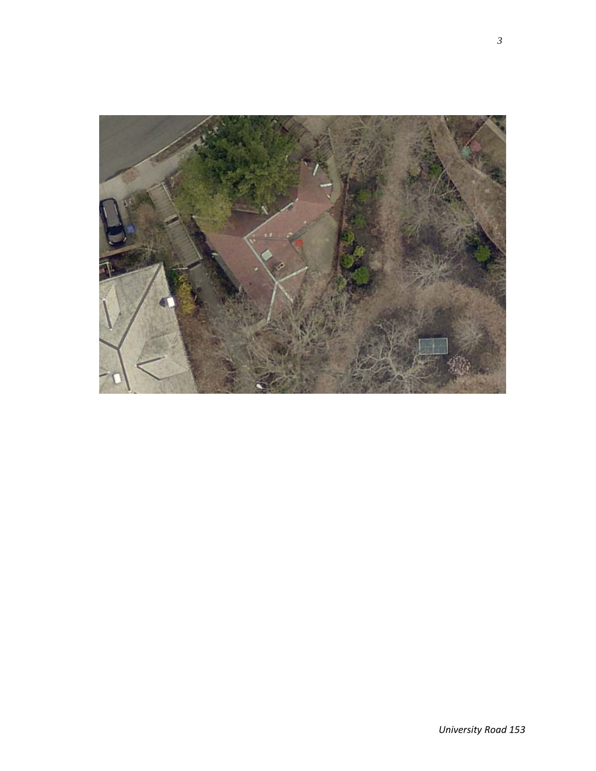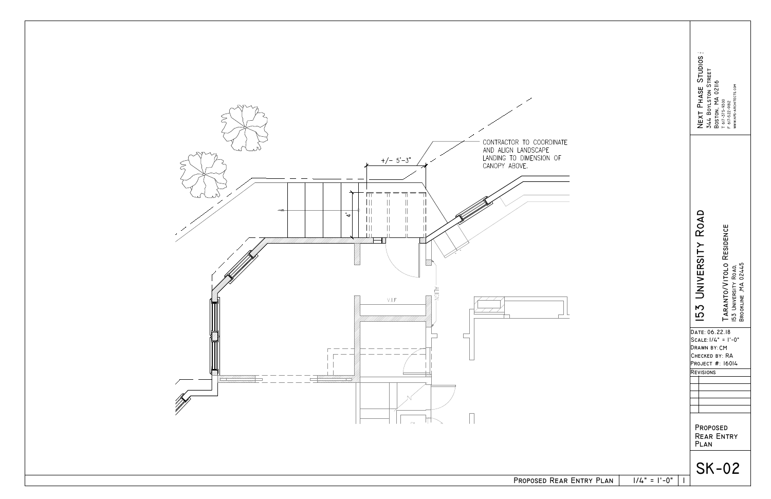

|                                 |                |   | NEXT PHASE STUDIOS<br>344 BOYLSTON STREET<br>BOSTON, MA 02116<br>WWW.NPS-ARCHITECTS.COM<br>T 617-375-9300<br>F 617-522-9812                       |                                                                         |  |
|---------------------------------|----------------|---|---------------------------------------------------------------------------------------------------------------------------------------------------|-------------------------------------------------------------------------|--|
| $\overline{a}$<br>$\frac{1}{2}$ |                |   | UNIVERSITY ROAD<br>53                                                                                                                             | TARANTO/VITOLO RESIDENCE<br>153 University Road,<br>Brookline ,MA 02445 |  |
|                                 |                |   | DATE: 06.22.18<br>$SCALE:I/4" = I'-0"$<br>DRAWN BY: CM<br>CHECKED BY: RA<br>PROJECT #: 16014<br><b>REVISIONS</b><br>PROPOSED<br><b>REAR ENTRY</b> |                                                                         |  |
| <b>ENTRY PLAN</b>               | $1/4" = 1'-0"$ | I | PLAN                                                                                                                                              | <b>SK-02</b>                                                            |  |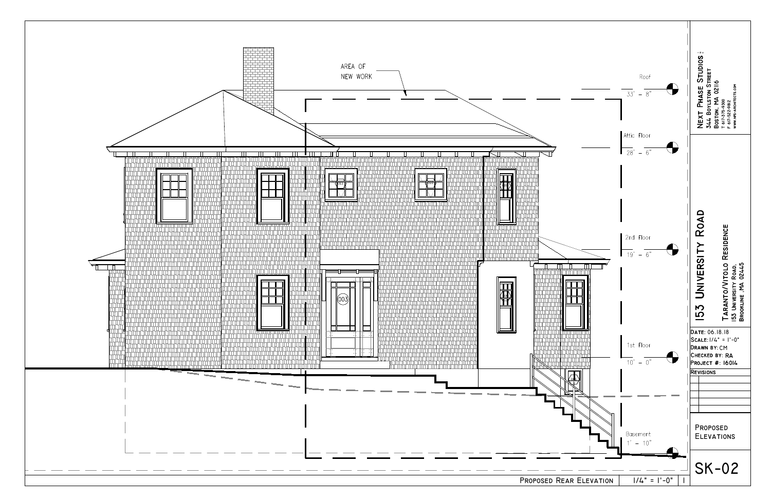